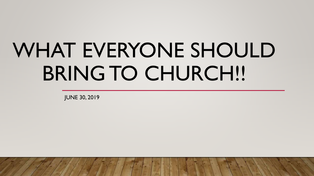# WHAT EVERYONE SHOULD BRING TO CHURCH!!

JUNE 30, 2019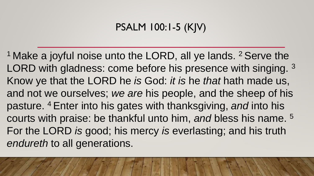## PSALM 100:1-5 (KJV)

<sup>1</sup> Make a joyful noise unto the LORD, all ye lands.  $2$  Serve the LORD with gladness: come before his presence with singing. <sup>3</sup> Know ye that the LORD he *is* God: *it is* he *that* hath made us, and not we ourselves; *we are* his people, and the sheep of his pasture. <sup>4</sup>Enter into his gates with thanksgiving, *and* into his courts with praise: be thankful unto him, *and* bless his name. <sup>5</sup> For the LORD *is* good; his mercy *is* everlasting; and his truth *endureth* to all generations.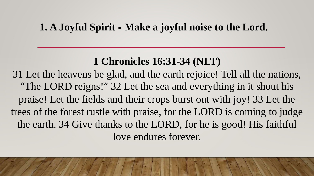#### **1. A Joyful Spirit - Make a joyful noise to the Lord.**

## **1 Chronicles 16:31-34 (NLT)**

31 Let the heavens be glad, and the earth rejoice! Tell all the nations, "The LORD reigns!" 32 Let the sea and everything in it shout his praise! Let the fields and their crops burst out with joy! 33 Let the trees of the forest rustle with praise, for the LORD is coming to judge the earth. 34 Give thanks to the LORD, for he is good! His faithful love endures forever.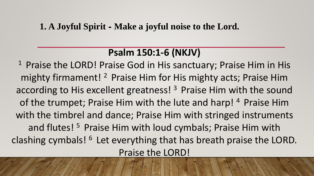#### **1. A Joyful Spirit - Make a joyful noise to the Lord.**

#### **Psalm 150:1-6 (NKJV)**

<sup>1</sup> Praise the LORD! Praise God in His sanctuary; Praise Him in His mighty firmament! <sup>2</sup> Praise Him for His mighty acts; Praise Him according to His excellent greatness!  $3$  Praise Him with the sound of the trumpet; Praise Him with the lute and harp! 4 Praise Him with the timbrel and dance; Praise Him with stringed instruments and flutes!<sup>5</sup> Praise Him with loud cymbals; Praise Him with clashing cymbals!  $6$  Let everything that has breath praise the LORD. Praise the LORD!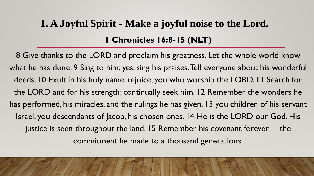# **1 Chronicles 16:8-15 (NLT) 1. A Joyful Spirit - Make a joyful noise to the Lord.**

8 Give thanks to the LORD and proclaim his greatness. Let the whole world know what he has done. 9 Sing to him; yes, sing his praises. Tell everyone about his wonderful deeds. 10 Exult in his holy name; rejoice, you who worship the LORD. 11 Search for the LORD and for his strength; continually seek him. 12 Remember the wonders he has performed, his miracles, and the rulings he has given, 13 you children of his servant Israel, you descendants of Jacob, his chosen ones. 14 He is the LORD our God. His justice is seen throughout the land. 15 Remember his covenant forever— the commitment he made to a thousand generations.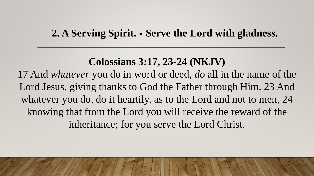#### **2. A Serving Spirit. - Serve the Lord with gladness.**

## **Colossians 3:17, 23-24 (NKJV)**

17 And *whatever* you do in word or deed, *do* all in the name of the Lord Jesus, giving thanks to God the Father through Him. 23 And whatever you do, do it heartily, as to the Lord and not to men, 24 knowing that from the Lord you will receive the reward of the inheritance; for you serve the Lord Christ.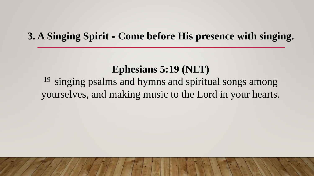#### **3. A Singing Spirit - Come before His presence with singing.**

#### **Ephesians 5:19 (NLT)**

 $19$  singing psalms and hymns and spiritual songs among yourselves, and making music to the Lord in your hearts.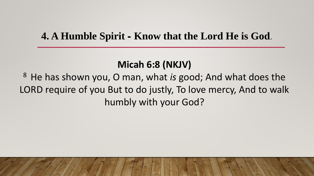#### **4. A Humble Spirit - Know that the Lord He is God**.

#### **Micah 6:8 (NKJV)**

<sup>8</sup>He has shown you, O man, what *is* good; And what does the LORD require of you But to do justly, To love mercy, And to walk humbly with your God?